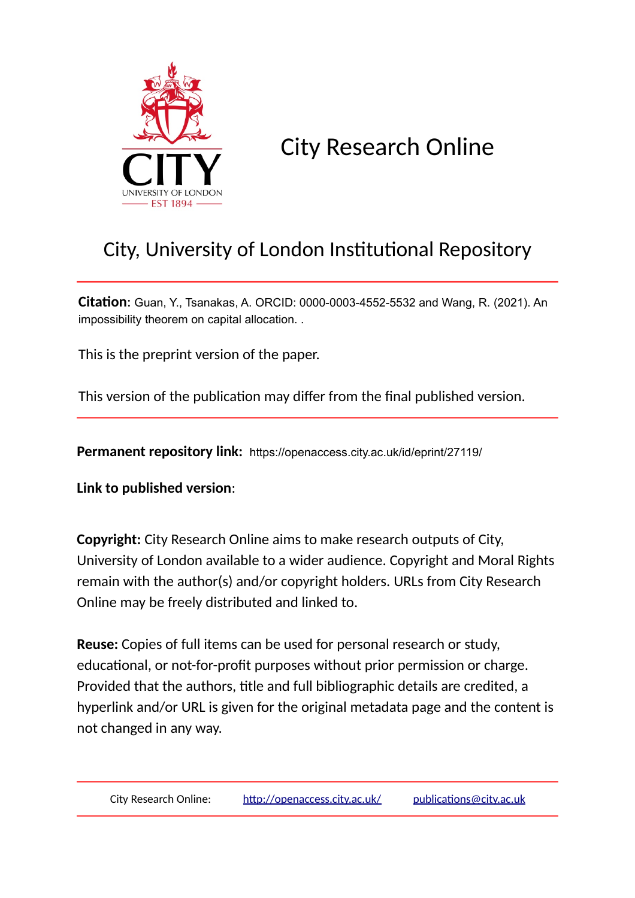

City Research Online

# City, University of London Institutional Repository

**Citation**: Guan, Y., Tsanakas, A. ORCID: 0000-0003-4552-5532 and Wang, R. (2021). An impossibility theorem on capital allocation. .

This is the preprint version of the paper.

This version of the publication may differ from the final published version.

**Permanent repository link:** https://openaccess.city.ac.uk/id/eprint/27119/

**Link to published version**:

**Copyright:** City Research Online aims to make research outputs of City, University of London available to a wider audience. Copyright and Moral Rights remain with the author(s) and/or copyright holders. URLs from City Research Online may be freely distributed and linked to.

**Reuse:** Copies of full items can be used for personal research or study, educational, or not-for-profit purposes without prior permission or charge. Provided that the authors, title and full bibliographic details are credited, a hyperlink and/or URL is given for the original metadata page and the content is not changed in any way.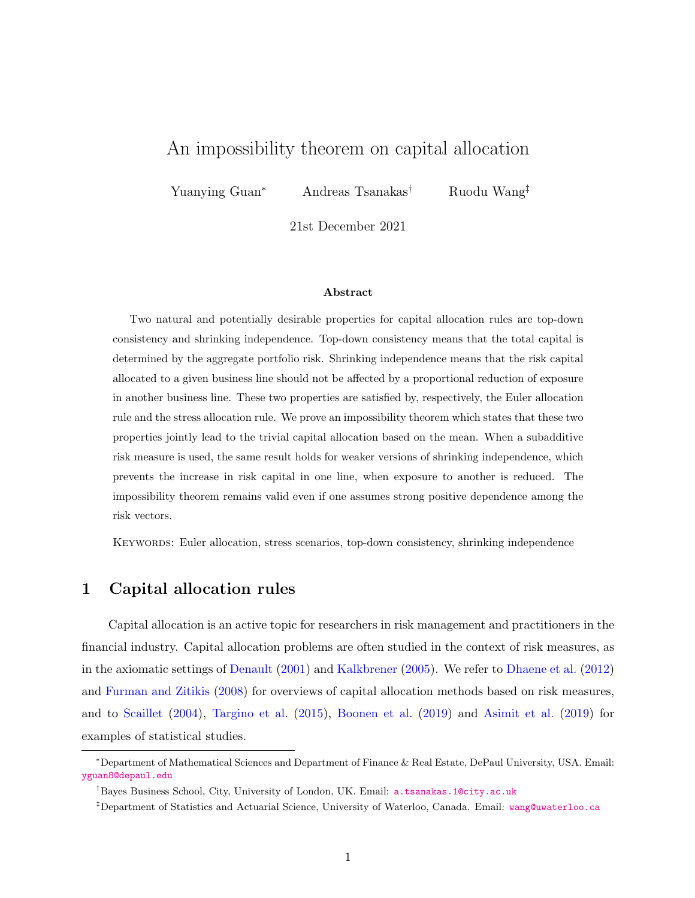## <span id="page-1-1"></span>An impossibility theorem on capital allocation

Yuanying Guan<sup>∗</sup> Andreas Tsanakas† Ruodu Wang‡

21st December 2021

#### Abstract

Two natural and potentially desirable properties for capital allocation rules are top-down consistency and shrinking independence. Top-down consistency means that the total capital is determined by the aggregate portfolio risk. Shrinking independence means that the risk capital allocated to a given business line should not be affected by a proportional reduction of exposure in another business line. These two properties are satisfied by, respectively, the Euler allocation rule and the stress allocation rule. We prove an impossibility theorem which states that these two properties jointly lead to the trivial capital allocation based on the mean. When a subadditive risk measure is used, the same result holds for weaker versions of shrinking independence, which prevents the increase in risk capital in one line, when exposure to another is reduced. The impossibility theorem remains valid even if one assumes strong positive dependence among the risk vectors.

Keywords: Euler allocation, stress scenarios, top-down consistency, shrinking independence

## <span id="page-1-0"></span>1 Capital allocation rules

Capital allocation is an active topic for researchers in risk management and practitioners in the financial industry. Capital allocation problems are often studied in the context of risk measures, as in the axiomatic settings of [Denault](#page-15-0) [\(2001\)](#page-15-0) and [Kalkbrener](#page-15-1) [\(2005\)](#page-15-1). We refer to [Dhaene et al.](#page-15-2) [\(2012\)](#page-15-2) and [Furman and Zitikis](#page-15-3) [\(2008\)](#page-15-3) for overviews of capital allocation methods based on risk measures, and to [Scaillet](#page-15-4) [\(2004\)](#page-15-4), [Targino et al.](#page-15-5) [\(2015\)](#page-15-5), [Boonen et al.](#page-14-0) [\(2019\)](#page-14-0) and [Asimit et al.](#page-14-1) [\(2019\)](#page-14-1) for examples of statistical studies.

<sup>∗</sup>Department of Mathematical Sciences and Department of Finance & Real Estate, DePaul University, USA. Email: <yguan8@depaul.edu>

<sup>†</sup>Bayes Business School, City, University of London, UK. Email: <a.tsanakas.1@city.ac.uk>

<sup>‡</sup>Department of Statistics and Actuarial Science, University of Waterloo, Canada. Email: <wang@uwaterloo.ca>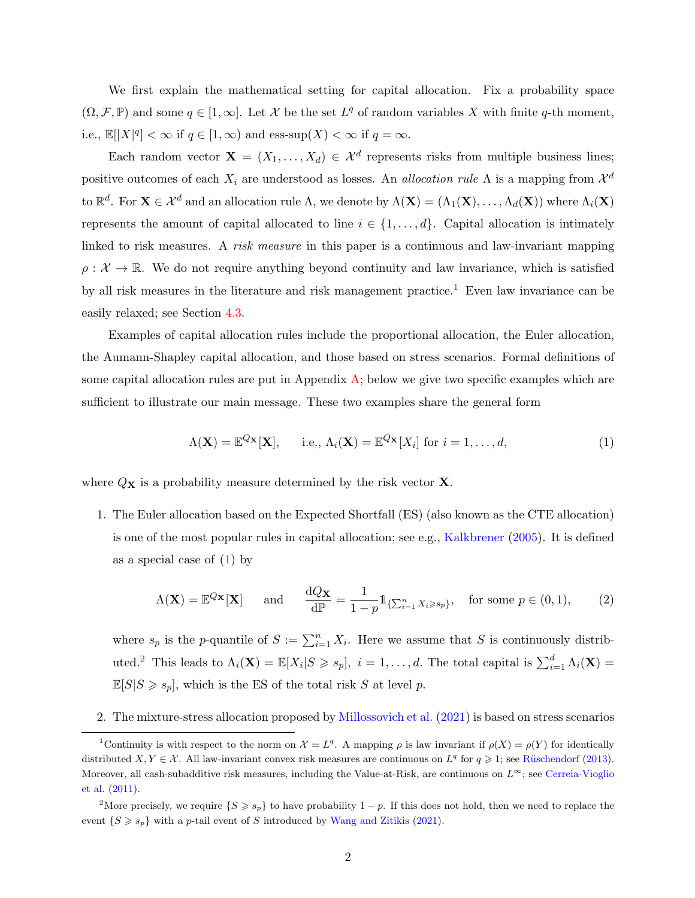We first explain the mathematical setting for capital allocation. Fix a probability space  $(\Omega, \mathcal{F}, \mathbb{P})$  and some  $q \in [1, \infty]$ . Let X be the set  $L^q$  of random variables X with finite q-th moment, i.e.,  $\mathbb{E}[|X|^q] < \infty$  if  $q \in [1,\infty)$  and ess-sup $(X) < \infty$  if  $q = \infty$ .

Each random vector  $\mathbf{X} = (X_1, \ldots, X_d) \in \mathcal{X}^d$  represents risks from multiple business lines; positive outcomes of each  $X_i$  are understood as losses. An *allocation rule*  $\Lambda$  is a mapping from  $\mathcal{X}^d$ to  $\mathbb{R}^d$ . For  $\mathbf{X} \in \mathcal{X}^d$  and an allocation rule  $\Lambda$ , we denote by  $\Lambda(\mathbf{X}) = (\Lambda_1(\mathbf{X}), \ldots, \Lambda_d(\mathbf{X}))$  where  $\Lambda_i(\mathbf{X})$ represents the amount of capital allocated to line  $i \in \{1, \ldots, d\}$ . Capital allocation is intimately linked to risk measures. A risk measure in this paper is a continuous and law-invariant mapping  $\rho: \mathcal{X} \to \mathbb{R}$ . We do not require anything beyond continuity and law invariance, which is satisfied by all risk measures in the literature and risk management practice.<sup>[1](#page-2-0)</sup> Even law invariance can be easily relaxed; see Section [4.3.](#page-12-0)

Examples of capital allocation rules include the proportional allocation, the Euler allocation, the Aumann-Shapley capital allocation, and those based on stress scenarios. Formal definitions of some capital allocation rules are put in Appendix [A;](#page-16-0) below we give two specific examples which are sufficient to illustrate our main message. These two examples share the general form

<span id="page-2-1"></span>
$$
\Lambda(\mathbf{X}) = \mathbb{E}^{Q_{\mathbf{X}}}[\mathbf{X}], \quad \text{i.e., } \Lambda_i(\mathbf{X}) = \mathbb{E}^{Q_{\mathbf{X}}}[X_i] \text{ for } i = 1, ..., d,
$$
\n(1)

where  $Q_{\mathbf{X}}$  is a probability measure determined by the risk vector  $\mathbf{X}$ .

1. The Euler allocation based on the Expected Shortfall (ES) (also known as the CTE allocation) is one of the most popular rules in capital allocation; see e.g., [Kalkbrener](#page-15-1) [\(2005\)](#page-15-1). It is defined as a special case of  $(1)$  by

<span id="page-2-3"></span>
$$
\Lambda(\mathbf{X}) = \mathbb{E}^{Q_{\mathbf{X}}}[\mathbf{X}] \quad \text{and} \quad \frac{\mathrm{d}Q_{\mathbf{X}}}{\mathrm{d}\mathbb{P}} = \frac{1}{1-p} \mathbb{1}_{\{\sum_{i=1}^{n} X_i \geqslant s_p\}}, \quad \text{for some } p \in (0,1), \tag{2}
$$

where  $s_p$  is the p-quantile of  $S := \sum_{i=1}^n X_i$ . Here we assume that S is continuously distrib-uted.<sup>[2](#page-2-2)</sup> This leads to  $\Lambda_i(\mathbf{X}) = \mathbb{E}[X_i | S \geqslant s_p], i = 1, ..., d$ . The total capital is  $\sum_{i=1}^d \Lambda_i(\mathbf{X}) =$  $\mathbb{E}[S|S\geq s_p]$ , which is the ES of the total risk S at level p.

<span id="page-2-0"></span>2. The mixture-stress allocation proposed by [Millossovich et al.](#page-15-6) [\(2021\)](#page-15-6) is based on stress scenarios

<sup>&</sup>lt;sup>1</sup>Continuity is with respect to the norm on  $\mathcal{X} = L^q$ . A mapping  $\rho$  is law invariant if  $\rho(X) = \rho(Y)$  for identically distributed  $X, Y \in \mathcal{X}$ . All law-invariant convex risk measures are continuous on  $L^q$  for  $q \geq 1$ ; see Rüschendorf [\(2013\)](#page-15-7). Moreover, all cash-subadditive risk measures, including the Value-at-Risk, are continuous on  $L^\infty$ ; see [Cerreia-Vioglio](#page-15-8) [et al.](#page-15-8) [\(2011\)](#page-15-8).

<span id="page-2-2"></span><sup>&</sup>lt;sup>2</sup>More precisely, we require  $\{S \geq s_p\}$  to have probability  $1-p$ . If this does not hold, then we need to replace the event  $\{S \geq s_p\}$  with a p-tail event of S introduced by [Wang and Zitikis](#page-16-1) [\(2021\)](#page-16-1).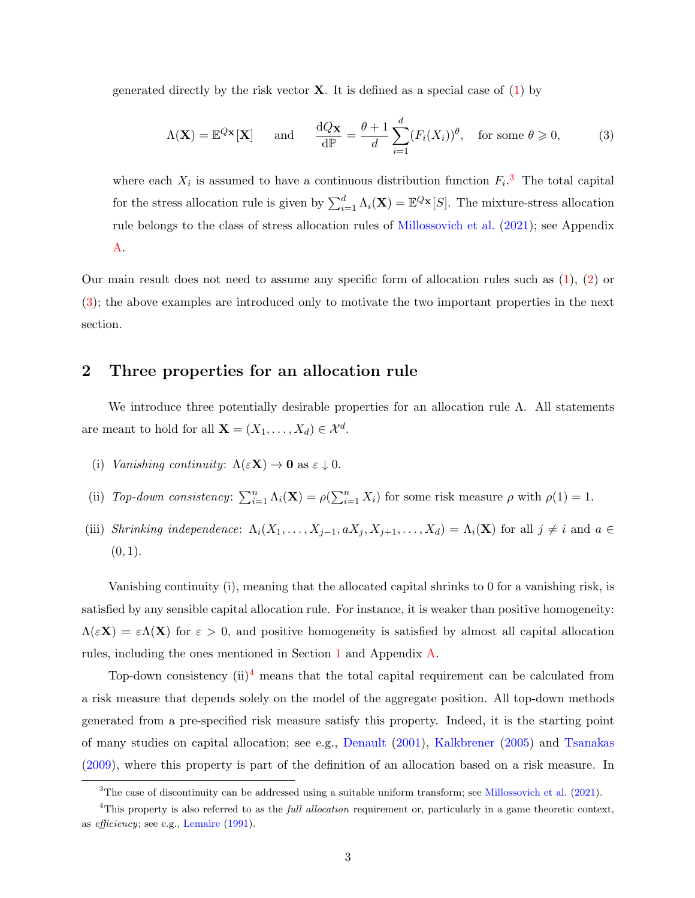generated directly by the risk vector  $X$ . It is defined as a special case of  $(1)$  by

<span id="page-3-1"></span>
$$
\Lambda(\mathbf{X}) = \mathbb{E}^{Q_{\mathbf{X}}}[\mathbf{X}] \quad \text{and} \quad \frac{\mathrm{d}Q_{\mathbf{X}}}{\mathrm{d}\mathbb{P}} = \frac{\theta + 1}{d} \sum_{i=1}^{d} (F_i(X_i))^{\theta}, \quad \text{for some } \theta \geq 0,
$$
 (3)

where each  $X_i$  is assumed to have a continuous distribution function  $F_i$ <sup>[3](#page-3-0)</sup>. The total capital for the stress allocation rule is given by  $\sum_{i=1}^{d} \Lambda_i(\mathbf{X}) = \mathbb{E}^{Q_{\mathbf{X}}}[S]$ . The mixture-stress allocation rule belongs to the class of stress allocation rules of [Millossovich et al.](#page-15-6) [\(2021\)](#page-15-6); see Appendix [A.](#page-16-0)

Our main result does not need to assume any specific form of allocation rules such as [\(1\)](#page-2-1), [\(2\)](#page-2-3) or [\(3\)](#page-3-1); the above examples are introduced only to motivate the two important properties in the next section.

## 2 Three properties for an allocation rule

We introduce three potentially desirable properties for an allocation rule  $\Lambda$ . All statements are meant to hold for all  $\mathbf{X} = (X_1, \ldots, X_d) \in \mathcal{X}^d$ .

- (i) Vanishing continuity:  $\Lambda(\varepsilon \mathbf{X}) \to \mathbf{0}$  as  $\varepsilon \downarrow 0$ .
- (ii) Top-down consistency:  $\sum_{i=1}^{n} \Lambda_i(\mathbf{X}) = \rho(\sum_{i=1}^{n} X_i)$  for some risk measure  $\rho$  with  $\rho(1) = 1$ .
- (iii) Shrinking independence:  $\Lambda_i(X_1,\ldots,X_{j-1},aX_j,X_{j+1},\ldots,X_d) = \Lambda_i(\mathbf{X})$  for all  $j \neq i$  and  $a \in$  $(0, 1).$

Vanishing continuity (i), meaning that the allocated capital shrinks to 0 for a vanishing risk, is satisfied by any sensible capital allocation rule. For instance, it is weaker than positive homogeneity:  $\Lambda(\varepsilon X) = \varepsilon \Lambda(X)$  for  $\varepsilon > 0$ , and positive homogeneity is satisfied by almost all capital allocation rules, including the ones mentioned in Section [1](#page-1-0) and Appendix [A.](#page-16-0)

Top-down consistency  $(ii)^4$  $(ii)^4$  means that the total capital requirement can be calculated from a risk measure that depends solely on the model of the aggregate position. All top-down methods generated from a pre-specified risk measure satisfy this property. Indeed, it is the starting point of many studies on capital allocation; see e.g., [Denault](#page-15-0) [\(2001\)](#page-15-0), [Kalkbrener](#page-15-1) [\(2005\)](#page-15-1) and [Tsanakas](#page-16-2) [\(2009\)](#page-16-2), where this property is part of the definition of an allocation based on a risk measure. In

<span id="page-3-2"></span><span id="page-3-0"></span><sup>&</sup>lt;sup>3</sup>The case of discontinuity can be addressed using a suitable uniform transform; see [Millossovich et al.](#page-15-6) [\(2021\)](#page-15-6).

 $4$ This property is also referred to as the *full allocation* requirement or, particularly in a game theoretic context, as efficiency; see e.g., [Lemaire](#page-15-9) [\(1991\)](#page-15-9).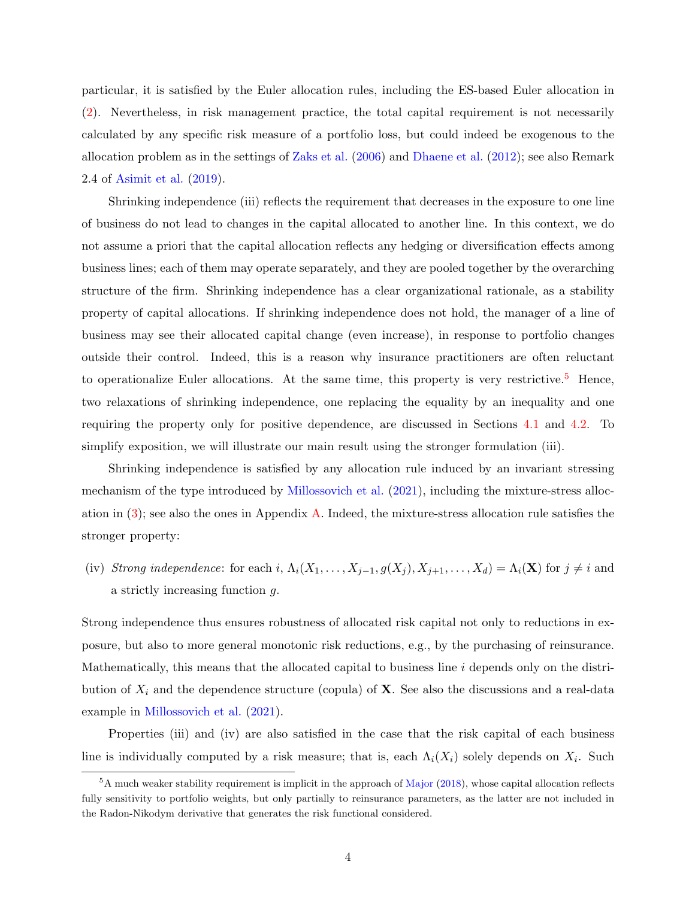particular, it is satisfied by the Euler allocation rules, including the ES-based Euler allocation in [\(2\)](#page-2-3). Nevertheless, in risk management practice, the total capital requirement is not necessarily calculated by any specific risk measure of a portfolio loss, but could indeed be exogenous to the allocation problem as in the settings of [Zaks et al.](#page-16-3) [\(2006\)](#page-16-3) and [Dhaene et al.](#page-15-2) [\(2012\)](#page-15-2); see also Remark 2.4 of [Asimit et al.](#page-14-1) [\(2019\)](#page-14-1).

Shrinking independence (iii) reflects the requirement that decreases in the exposure to one line of business do not lead to changes in the capital allocated to another line. In this context, we do not assume a priori that the capital allocation reflects any hedging or diversification effects among business lines; each of them may operate separately, and they are pooled together by the overarching structure of the firm. Shrinking independence has a clear organizational rationale, as a stability property of capital allocations. If shrinking independence does not hold, the manager of a line of business may see their allocated capital change (even increase), in response to portfolio changes outside their control. Indeed, this is a reason why insurance practitioners are often reluctant to operationalize Euler allocations. At the same time, this property is very restrictive.<sup>[5](#page-4-0)</sup> Hence, two relaxations of shrinking independence, one replacing the equality by an inequality and one requiring the property only for positive dependence, are discussed in Sections [4.1](#page-7-0) and [4.2.](#page-9-0) To simplify exposition, we will illustrate our main result using the stronger formulation (iii).

Shrinking independence is satisfied by any allocation rule induced by an invariant stressing mechanism of the type introduced by [Millossovich et al.](#page-15-6) [\(2021\)](#page-15-6), including the mixture-stress allocation in  $(3)$ ; see also the ones in Appendix [A.](#page-16-0) Indeed, the mixture-stress allocation rule satisfies the stronger property:

(iv) Strong independence: for each i,  $\Lambda_i(X_1,\ldots,X_{j-1},g(X_j),X_{j+1},\ldots,X_d) = \Lambda_i(\mathbf{X})$  for  $j \neq i$  and a strictly increasing function g.

Strong independence thus ensures robustness of allocated risk capital not only to reductions in exposure, but also to more general monotonic risk reductions, e.g., by the purchasing of reinsurance. Mathematically, this means that the allocated capital to business line  $i$  depends only on the distribution of  $X_i$  and the dependence structure (copula) of  $X_i$ . See also the discussions and a real-data example in [Millossovich et al.](#page-15-6) [\(2021\)](#page-15-6).

Properties (iii) and (iv) are also satisfied in the case that the risk capital of each business line is individually computed by a risk measure; that is, each  $\Lambda_i(X_i)$  solely depends on  $X_i$ . Such

<span id="page-4-0"></span><sup>&</sup>lt;sup>5</sup>A much weaker stability requirement is implicit in the approach of [Major](#page-15-10) [\(2018\)](#page-15-10), whose capital allocation reflects fully sensitivity to portfolio weights, but only partially to reinsurance parameters, as the latter are not included in the Radon-Nikodym derivative that generates the risk functional considered.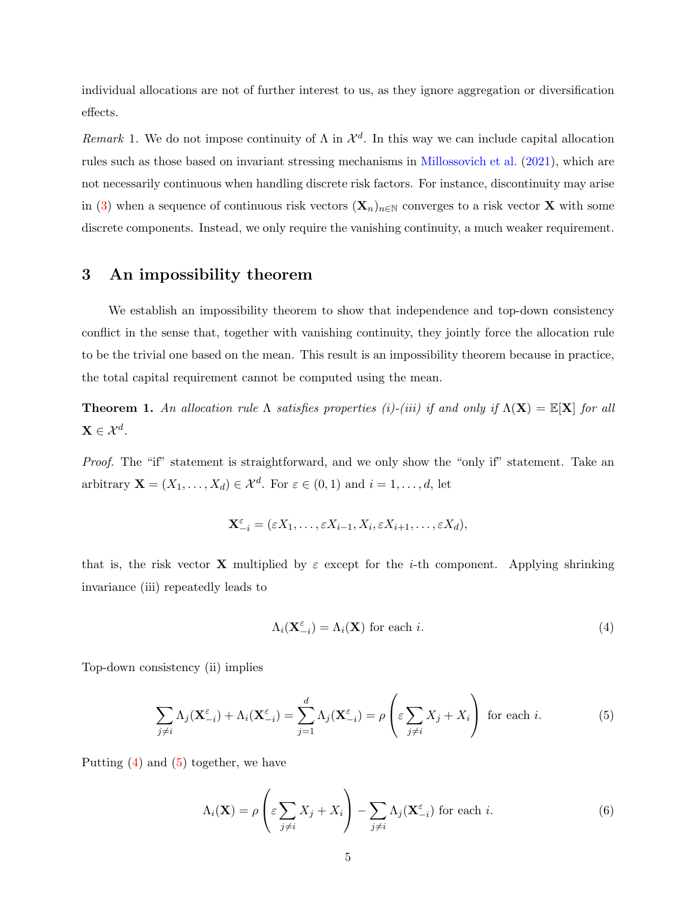individual allocations are not of further interest to us, as they ignore aggregation or diversification effects.

Remark 1. We do not impose continuity of  $\Lambda$  in  $\mathcal{X}^d$ . In this way we can include capital allocation rules such as those based on invariant stressing mechanisms in [Millossovich et al.](#page-15-6) [\(2021\)](#page-15-6), which are not necessarily continuous when handling discrete risk factors. For instance, discontinuity may arise in [\(3\)](#page-3-1) when a sequence of continuous risk vectors  $(\mathbf{X}_n)_{n\in\mathbb{N}}$  converges to a risk vector **X** with some discrete components. Instead, we only require the vanishing continuity, a much weaker requirement.

## 3 An impossibility theorem

We establish an impossibility theorem to show that independence and top-down consistency conflict in the sense that, together with vanishing continuity, they jointly force the allocation rule to be the trivial one based on the mean. This result is an impossibility theorem because in practice, the total capital requirement cannot be computed using the mean.

<span id="page-5-3"></span>**Theorem 1.** An allocation rule  $\Lambda$  satisfies properties (i)-(iii) if and only if  $\Lambda(X) = \mathbb{E}[X]$  for all  $\mathbf{X} \in \mathcal{X}^{d}$ .

Proof. The "if" statement is straightforward, and we only show the "only if" statement. Take an arbitrary  $\mathbf{X} = (X_1, \ldots, X_d) \in \mathcal{X}^d$ . For  $\varepsilon \in (0, 1)$  and  $i = 1, \ldots, d$ , let

$$
\mathbf{X}_{-i}^{\varepsilon} = (\varepsilon X_1, \dots, \varepsilon X_{i-1}, X_i, \varepsilon X_{i+1}, \dots, \varepsilon X_d),
$$

that is, the risk vector **X** multiplied by  $\varepsilon$  except for the *i*-th component. Applying shrinking invariance (iii) repeatedly leads to

<span id="page-5-0"></span>
$$
\Lambda_i(\mathbf{X}_{-i}^{\varepsilon}) = \Lambda_i(\mathbf{X}) \text{ for each } i.
$$
\n<sup>(4)</sup>

Top-down consistency (ii) implies

<span id="page-5-1"></span>
$$
\sum_{j \neq i} \Lambda_j(\mathbf{X}_{-i}^{\varepsilon}) + \Lambda_i(\mathbf{X}_{-i}^{\varepsilon}) = \sum_{j=1}^d \Lambda_j(\mathbf{X}_{-i}^{\varepsilon}) = \rho \left( \varepsilon \sum_{j \neq i} X_j + X_i \right) \text{ for each } i.
$$
 (5)

Putting [\(4\)](#page-5-0) and [\(5\)](#page-5-1) together, we have

<span id="page-5-2"></span>
$$
\Lambda_i(\mathbf{X}) = \rho \left( \varepsilon \sum_{j \neq i} X_j + X_i \right) - \sum_{j \neq i} \Lambda_j(\mathbf{X}_{-i}^{\varepsilon}) \text{ for each } i.
$$
 (6)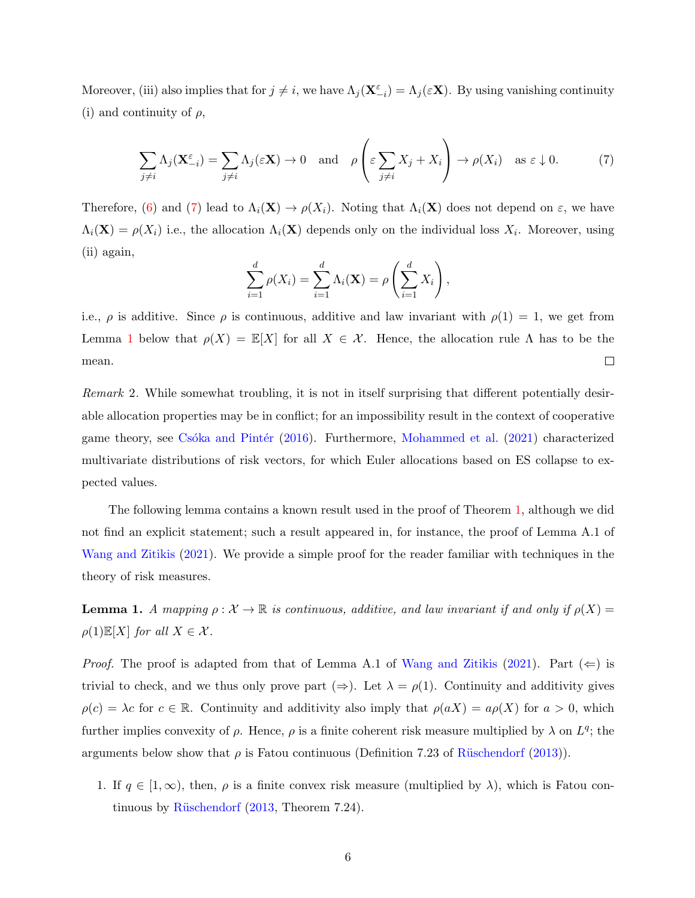Moreover, (iii) also implies that for  $j \neq i$ , we have  $\Lambda_j(\mathbf{X}_{-i}^{\varepsilon}) = \Lambda_j(\varepsilon \mathbf{X})$ . By using vanishing continuity (i) and continuity of  $\rho$ ,

<span id="page-6-0"></span>
$$
\sum_{j \neq i} \Lambda_j(\mathbf{X}_{-i}^{\varepsilon}) = \sum_{j \neq i} \Lambda_j(\varepsilon \mathbf{X}) \to 0 \quad \text{and} \quad \rho\left(\varepsilon \sum_{j \neq i} X_j + X_i\right) \to \rho(X_i) \quad \text{as } \varepsilon \downarrow 0. \tag{7}
$$

Therefore, [\(6\)](#page-5-2) and [\(7\)](#page-6-0) lead to  $\Lambda_i(\mathbf{X}) \to \rho(X_i)$ . Noting that  $\Lambda_i(\mathbf{X})$  does not depend on  $\varepsilon$ , we have  $\Lambda_i(\mathbf{X}) = \rho(X_i)$  i.e., the allocation  $\Lambda_i(\mathbf{X})$  depends only on the individual loss  $X_i$ . Moreover, using (ii) again,

$$
\sum_{i=1}^d \rho(X_i) = \sum_{i=1}^d \Lambda_i(\mathbf{X}) = \rho\left(\sum_{i=1}^d X_i\right),
$$

i.e.,  $\rho$  is additive. Since  $\rho$  is continuous, additive and law invariant with  $\rho(1) = 1$ , we get from Lemma [1](#page-6-1) below that  $\rho(X) = \mathbb{E}[X]$  for all  $X \in \mathcal{X}$ . Hence, the allocation rule  $\Lambda$  has to be the mean.  $\Box$ 

Remark 2. While somewhat troubling, it is not in itself surprising that different potentially desirable allocation properties may be in conflict; for an impossibility result in the context of cooperative game theory, see Csóka and Pintér [\(2016\)](#page-15-11). Furthermore, [Mohammed et al.](#page-15-12) [\(2021\)](#page-15-12) characterized multivariate distributions of risk vectors, for which Euler allocations based on ES collapse to expected values.

The following lemma contains a known result used in the proof of Theorem [1,](#page-5-3) although we did not find an explicit statement; such a result appeared in, for instance, the proof of Lemma A.1 of [Wang and Zitikis](#page-16-1) [\(2021\)](#page-16-1). We provide a simple proof for the reader familiar with techniques in the theory of risk measures.

<span id="page-6-1"></span>**Lemma 1.** A mapping  $\rho : \mathcal{X} \to \mathbb{R}$  is continuous, additive, and law invariant if and only if  $\rho(X) =$  $\rho(1)\mathbb{E}[X]$  for all  $X \in \mathcal{X}$ .

*Proof.* The proof is adapted from that of Lemma A.1 of [Wang and Zitikis](#page-16-1) [\(2021\)](#page-16-1). Part  $(\Leftarrow)$  is trivial to check, and we thus only prove part ( $\Rightarrow$ ). Let  $\lambda = \rho(1)$ . Continuity and additivity gives  $\rho(c) = \lambda c$  for  $c \in \mathbb{R}$ . Continuity and additivity also imply that  $\rho(aX) = a\rho(X)$  for  $a > 0$ , which further implies convexity of  $\rho$ . Hence,  $\rho$  is a finite coherent risk measure multiplied by  $\lambda$  on  $L^q$ ; the arguments below show that  $\rho$  is Fatou continuous (Definition 7.23 of Rüschendorf [\(2013\)](#page-15-7)).

1. If  $q \in [1,\infty)$ , then,  $\rho$  is a finite convex risk measure (multiplied by  $\lambda$ ), which is Fatou continuous by Rüschendorf  $(2013,$  Theorem 7.24).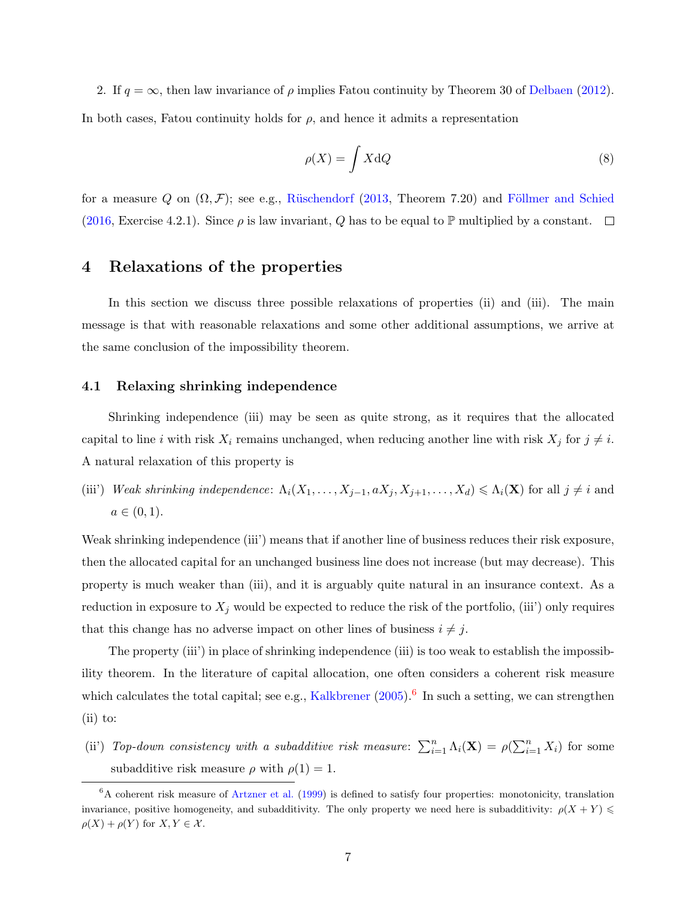2. If  $q = \infty$ , then law invariance of  $\rho$  implies Fatou continuity by Theorem 30 of [Delbaen](#page-15-13) [\(2012\)](#page-15-13). In both cases, Fatou continuity holds for  $\rho$ , and hence it admits a representation

<span id="page-7-2"></span>
$$
\rho(X) = \int X \, \mathrm{d}Q \tag{8}
$$

for a measure Q on  $(\Omega, \mathcal{F})$ ; see e.g., Rüschendorf [\(2013,](#page-15-7) Theorem 7.20) and Föllmer and Schied  $(2016, \text{Exercise } 4.2.1).$  $(2016, \text{Exercise } 4.2.1).$  Since  $\rho$  is law invariant, Q has to be equal to P multiplied by a constant.  $\Box$ 

### 4 Relaxations of the properties

In this section we discuss three possible relaxations of properties (ii) and (iii). The main message is that with reasonable relaxations and some other additional assumptions, we arrive at the same conclusion of the impossibility theorem.

#### <span id="page-7-0"></span>4.1 Relaxing shrinking independence

Shrinking independence (iii) may be seen as quite strong, as it requires that the allocated capital to line i with risk  $X_i$  remains unchanged, when reducing another line with risk  $X_j$  for  $j \neq i$ . A natural relaxation of this property is

(iii') Weak shrinking independence:  $\Lambda_i(X_1,\ldots,X_{j-1},aX_j,X_{j+1},\ldots,X_d) \leq \Lambda_i(\mathbf{X})$  for all  $j \neq i$  and  $a \in (0, 1).$ 

Weak shrinking independence (iii') means that if another line of business reduces their risk exposure, then the allocated capital for an unchanged business line does not increase (but may decrease). This property is much weaker than (iii), and it is arguably quite natural in an insurance context. As a reduction in exposure to  $X_j$  would be expected to reduce the risk of the portfolio, (iii') only requires that this change has no adverse impact on other lines of business  $i \neq j$ .

The property (iii') in place of shrinking independence (iii) is too weak to establish the impossibility theorem. In the literature of capital allocation, one often considers a coherent risk measure which calculates the total capital; see e.g., [Kalkbrener](#page-15-1)  $(2005)$ .<sup>[6](#page-7-1)</sup> In such a setting, we can strengthen  $(ii)$  to:

(ii) Top-down consistency with a subadditive risk measure:  $\sum_{i=1}^{n} \Lambda_i(\mathbf{X}) = \rho(\sum_{i=1}^{n} X_i)$  for some subadditive risk measure  $\rho$  with  $\rho(1) = 1$ .

<span id="page-7-1"></span> ${}^{6}$ A coherent risk measure of [Artzner et al.](#page-14-2) [\(1999\)](#page-14-2) is defined to satisfy four properties: monotonicity, translation invariance, positive homogeneity, and subadditivity. The only property we need here is subadditivity:  $\rho(X + Y)$  $\rho(X) + \rho(Y)$  for  $X, Y \in \mathcal{X}$ .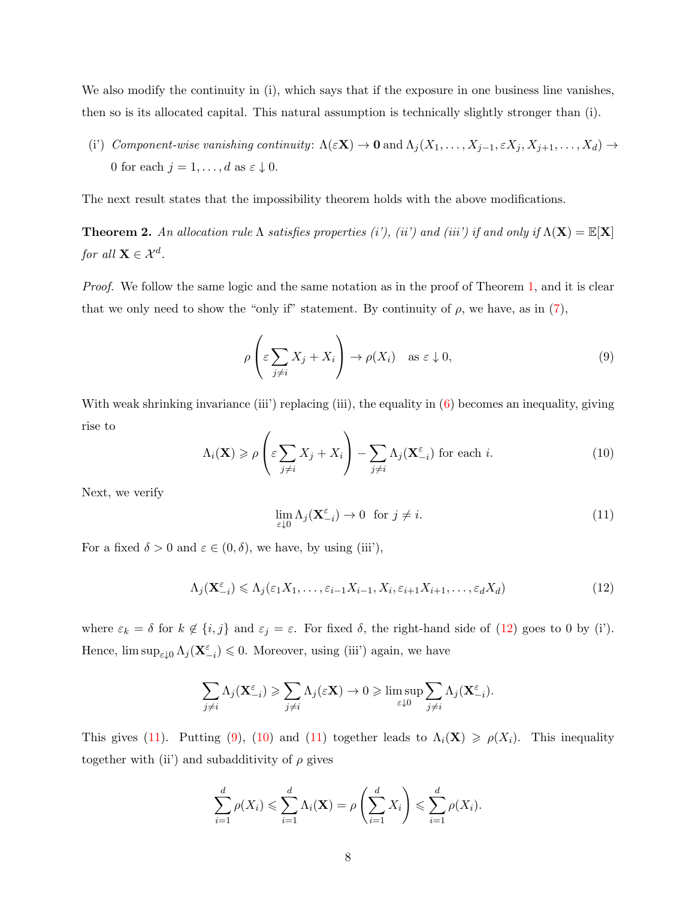We also modify the continuity in (i), which says that if the exposure in one business line vanishes, then so is its allocated capital. This natural assumption is technically slightly stronger than (i).

(i') Component-wise vanishing continuity:  $\Lambda(\varepsilon \mathbf{X}) \to \mathbf{0}$  and  $\Lambda_j(X_1, \ldots, X_{j-1}, \varepsilon X_j, X_{j+1}, \ldots, X_d) \to$ 0 for each  $j = 1, \ldots, d$  as  $\varepsilon \downarrow 0$ .

The next result states that the impossibility theorem holds with the above modifications.

<span id="page-8-4"></span>**Theorem 2.** An allocation rule  $\Lambda$  satisfies properties (i'), (ii') and (iii') if and only if  $\Lambda(X) = \mathbb{E}[X]$ for all  $\mathbf{X} \in \mathcal{X}^d$ .

*Proof.* We follow the same logic and the same notation as in the proof of Theorem [1,](#page-5-3) and it is clear that we only need to show the "only if" statement. By continuity of  $\rho$ , we have, as in [\(7\)](#page-6-0),

<span id="page-8-2"></span>
$$
\rho\left(\varepsilon \sum_{j\neq i} X_j + X_i\right) \to \rho(X_i) \quad \text{as } \varepsilon \downarrow 0,
$$
\n(9)

With weak shrinking invariance (iii') replacing (iii), the equality in [\(6\)](#page-5-2) becomes an inequality, giving rise to

<span id="page-8-3"></span>
$$
\Lambda_i(\mathbf{X}) \ge \rho\left(\varepsilon \sum_{j \ne i} X_j + X_i\right) - \sum_{j \ne i} \Lambda_j(\mathbf{X}_{-i}^{\varepsilon}) \text{ for each } i.
$$
 (10)

Next, we verify

<span id="page-8-1"></span>
$$
\lim_{\varepsilon \downarrow 0} \Lambda_j(\mathbf{X}_{-i}^{\varepsilon}) \to 0 \quad \text{for } j \neq i. \tag{11}
$$

For a fixed  $\delta > 0$  and  $\varepsilon \in (0, \delta)$ , we have, by using (iii'),

<span id="page-8-0"></span>
$$
\Lambda_j(\mathbf{X}_{-i}^{\varepsilon}) \leq \Lambda_j(\varepsilon_1 X_1, \dots, \varepsilon_{i-1} X_{i-1}, X_i, \varepsilon_{i+1} X_{i+1}, \dots, \varepsilon_d X_d)
$$
\n(12)

where  $\varepsilon_k = \delta$  for  $k \notin \{i, j\}$  and  $\varepsilon_j = \varepsilon$ . For fixed  $\delta$ , the right-hand side of [\(12\)](#page-8-0) goes to 0 by (i'). Hence,  $\limsup_{\varepsilon\downarrow 0}\Lambda_j(\mathbf{X}^{\varepsilon}_{-i})\leqslant 0$ . Moreover, using (iii') again, we have

$$
\sum_{j \neq i} \Lambda_j(\mathbf{X}_{-i}^{\varepsilon}) \geqslant \sum_{j \neq i} \Lambda_j(\varepsilon \mathbf{X}) \to 0 \geqslant \limsup_{\varepsilon \downarrow 0} \sum_{j \neq i} \Lambda_j(\mathbf{X}_{-i}^{\varepsilon}).
$$

This gives [\(11\)](#page-8-1). Putting [\(9\)](#page-8-2), [\(10\)](#page-8-3) and (11) together leads to  $\Lambda_i(\mathbf{X}) \geq \rho(X_i)$ . This inequality together with (ii) and subadditivity of  $\rho$  gives

$$
\sum_{i=1}^d \rho(X_i) \leqslant \sum_{i=1}^d \Lambda_i(\mathbf{X}) = \rho\left(\sum_{i=1}^d X_i\right) \leqslant \sum_{i=1}^d \rho(X_i).
$$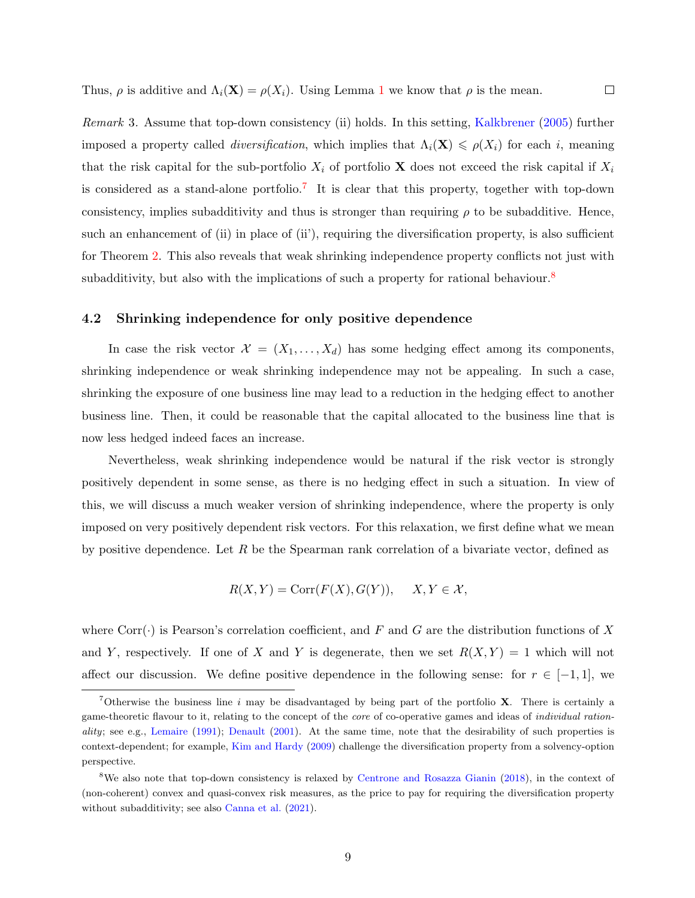Thus,  $\rho$  is additive and  $\Lambda_i(\mathbf{X}) = \rho(X_i)$ . Using Lemma [1](#page-6-1) we know that  $\rho$  is the mean.

Remark 3. Assume that top-down consistency (ii) holds. In this setting, [Kalkbrener](#page-15-1) [\(2005\)](#page-15-1) further imposed a property called *diversification*, which implies that  $\Lambda_i(\mathbf{X}) \leq \rho(X_i)$  for each i, meaning that the risk capital for the sub-portfolio  $X_i$  of portfolio X does not exceed the risk capital if  $X_i$ is considered as a stand-alone portfolio.<sup>[7](#page-9-1)</sup> It is clear that this property, together with top-down consistency, implies subadditivity and thus is stronger than requiring  $\rho$  to be subadditive. Hence, such an enhancement of (ii) in place of (ii'), requiring the diversification property, is also sufficient for Theorem [2.](#page-8-4) This also reveals that weak shrinking independence property conflicts not just with subadditivity, but also with the implications of such a property for rational behaviour.<sup>[8](#page-9-2)</sup>

#### <span id="page-9-0"></span>4.2 Shrinking independence for only positive dependence

In case the risk vector  $\mathcal{X} = (X_1, \ldots, X_d)$  has some hedging effect among its components, shrinking independence or weak shrinking independence may not be appealing. In such a case, shrinking the exposure of one business line may lead to a reduction in the hedging effect to another business line. Then, it could be reasonable that the capital allocated to the business line that is now less hedged indeed faces an increase.

Nevertheless, weak shrinking independence would be natural if the risk vector is strongly positively dependent in some sense, as there is no hedging effect in such a situation. In view of this, we will discuss a much weaker version of shrinking independence, where the property is only imposed on very positively dependent risk vectors. For this relaxation, we first define what we mean by positive dependence. Let  $R$  be the Spearman rank correlation of a bivariate vector, defined as

$$
R(X, Y) = \text{Corr}(F(X), G(Y)), \quad X, Y \in \mathcal{X},
$$

where Corr( $\cdot$ ) is Pearson's correlation coefficient, and F and G are the distribution functions of X and Y, respectively. If one of X and Y is degenerate, then we set  $R(X, Y) = 1$  which will not affect our discussion. We define positive dependence in the following sense: for  $r \in [-1,1]$ , we

<span id="page-9-1"></span><sup>&</sup>lt;sup>7</sup>Otherwise the business line i may be disadvantaged by being part of the portfolio **X**. There is certainly a game-theoretic flavour to it, relating to the concept of the core of co-operative games and ideas of individual ration-ality; see e.g., [Lemaire](#page-15-9) [\(1991\)](#page-15-9); [Denault](#page-15-0) [\(2001\)](#page-15-0). At the same time, note that the desirability of such properties is context-dependent; for example, [Kim and Hardy](#page-15-15) [\(2009\)](#page-15-15) challenge the diversification property from a solvency-option perspective.

<span id="page-9-2"></span><sup>8</sup>We also note that top-down consistency is relaxed by [Centrone and Rosazza Gianin](#page-15-16) [\(2018\)](#page-15-16), in the context of (non-coherent) convex and quasi-convex risk measures, as the price to pay for requiring the diversification property without subadditivity; see also [Canna et al.](#page-14-3)  $(2021)$ .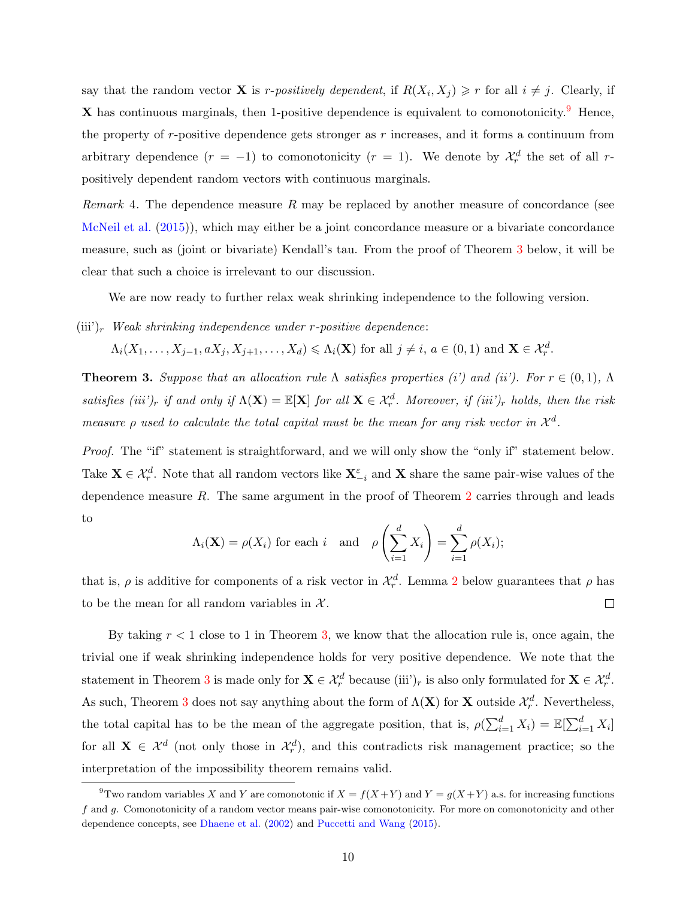say that the random vector **X** is *r*-positively dependent, if  $R(X_i, X_j) \geq r$  for all  $i \neq j$ . Clearly, if  $X$  has continuous marginals, then 1-positive dependence is equivalent to comonotonicity.<sup>[9](#page-10-0)</sup> Hence, the property of  $r$ -positive dependence gets stronger as  $r$  increases, and it forms a continuum from arbitrary dependence  $(r = -1)$  to comonotonicity  $(r = 1)$ . We denote by  $\mathcal{X}_r^d$  the set of all rpositively dependent random vectors with continuous marginals.

*Remark* 4. The dependence measure R may be replaced by another measure of concordance (see [McNeil et al.](#page-15-17) [\(2015\)](#page-15-17)), which may either be a joint concordance measure or a bivariate concordance measure, such as (joint or bivariate) Kendall's tau. From the proof of Theorem [3](#page-10-1) below, it will be clear that such a choice is irrelevant to our discussion.

We are now ready to further relax weak shrinking independence to the following version.

 $(iii')_r$  Weak shrinking independence under r-positive dependence:

 $\Lambda_i(X_1,\ldots,X_{j-1},aX_j,X_{j+1},\ldots,X_d)\leqslant \Lambda_i(\mathbf{X})$  for all  $j\neq i, a\in(0,1)$  and  $\mathbf{X}\in\mathcal{X}_r^d$ .

<span id="page-10-1"></span>**Theorem 3.** Suppose that an allocation rule  $\Lambda$  satisfies properties (i') and (ii'). For  $r \in (0,1)$ ,  $\Lambda$ satisfies (iii')<sub>r</sub> if and only if  $\Lambda(X) = \mathbb{E}[X]$  for all  $X \in \mathcal{X}^d_r$ . Moreover, if (iii')<sub>r</sub> holds, then the risk measure  $\rho$  used to calculate the total capital must be the mean for any risk vector in  $\mathcal{X}^d$ .

Proof. The "if" statement is straightforward, and we will only show the "only if" statement below. Take  $\mathbf{X} \in \mathcal{X}^d_r$ . Note that all random vectors like  $\mathbf{X}^{\varepsilon}_{-i}$  and  $\mathbf{X}$  share the same pair-wise values of the dependence measure R. The same argument in the proof of Theorem [2](#page-8-4) carries through and leads to

$$
\Lambda_i(\mathbf{X}) = \rho(X_i)
$$
 for each  $i$  and  $\rho\left(\sum_{i=1}^d X_i\right) = \sum_{i=1}^d \rho(X_i);$ 

that is,  $\rho$  is additive for components of a risk vector in  $\mathcal{X}_r^d$ . Lemma [2](#page-11-0) below guarantees that  $\rho$  has to be the mean for all random variables in  $\mathcal{X}$ .  $\Box$ 

By taking  $r < 1$  close to 1 in Theorem [3,](#page-10-1) we know that the allocation rule is, once again, the trivial one if weak shrinking independence holds for very positive dependence. We note that the statement in Theorem [3](#page-10-1) is made only for  $\mathbf{X} \in \mathcal{X}_r^d$  because (iii')<sub>r</sub> is also only formulated for  $\mathbf{X} \in \mathcal{X}_r^d$ . As such, Theorem [3](#page-10-1) does not say anything about the form of  $\Lambda(X)$  for X outside  $\mathcal{X}_r^d$ . Nevertheless, the total capital has to be the mean of the aggregate position, that is,  $\rho(\sum_{i=1}^{d} X_i) = \mathbb{E}[\sum_{i=1}^{d} X_i]$ for all  $X \in \mathcal{X}^d$  (not only those in  $\mathcal{X}^d_r$ ), and this contradicts risk management practice; so the interpretation of the impossibility theorem remains valid.

<span id="page-10-0"></span><sup>&</sup>lt;sup>9</sup>Two random variables X and Y are comonotonic if  $X = f(X+Y)$  and  $Y = g(X+Y)$  a.s. for increasing functions f and g. Comonotonicity of a random vector means pair-wise comonotonicity. For more on comonotonicity and other dependence concepts, see [Dhaene et al.](#page-15-18) [\(2002\)](#page-15-18) and [Puccetti and Wang](#page-15-19) [\(2015\)](#page-15-19).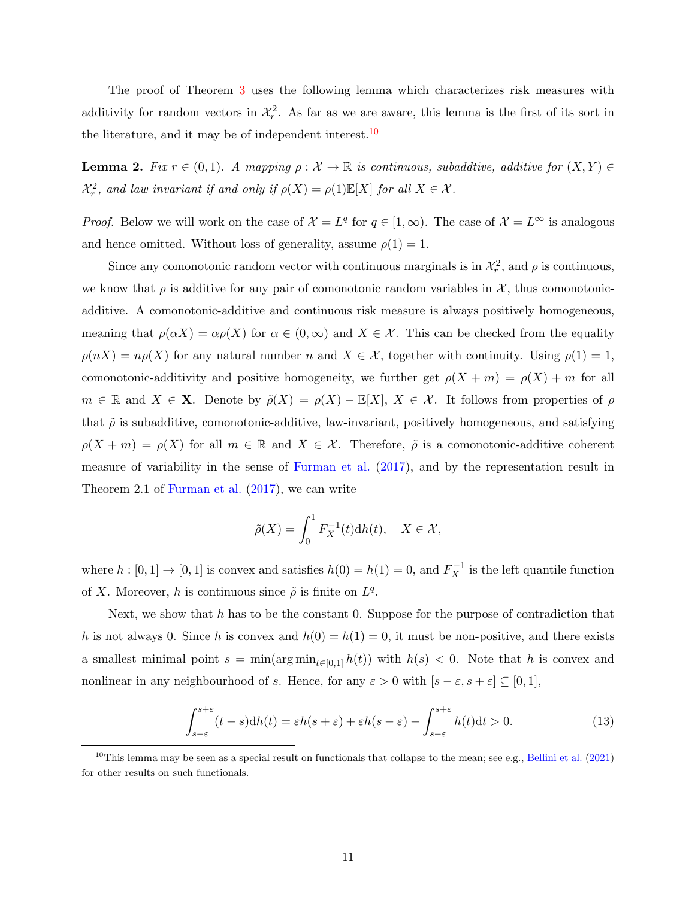The proof of Theorem [3](#page-10-1) uses the following lemma which characterizes risk measures with additivity for random vectors in  $\mathcal{X}_r^2$ . As far as we are aware, this lemma is the first of its sort in the literature, and it may be of independent interest.<sup>[10](#page-11-1)</sup>

<span id="page-11-0"></span>**Lemma 2.** Fix  $r \in (0,1)$ . A mapping  $\rho : \mathcal{X} \to \mathbb{R}$  is continuous, subaddtive, additive for  $(X, Y) \in$  $\mathcal{X}_r^2$ , and law invariant if and only if  $\rho(X) = \rho(1)\mathbb{E}[X]$  for all  $X \in \mathcal{X}$ .

*Proof.* Below we will work on the case of  $\mathcal{X} = L^q$  for  $q \in [1, \infty)$ . The case of  $\mathcal{X} = L^{\infty}$  is analogous and hence omitted. Without loss of generality, assume  $\rho(1) = 1$ .

Since any comonotonic random vector with continuous marginals is in  $\mathcal{X}_r^2$ , and  $\rho$  is continuous, we know that  $\rho$  is additive for any pair of comonotonic random variables in X, thus comonotonicadditive. A comonotonic-additive and continuous risk measure is always positively homogeneous, meaning that  $\rho(\alpha X) = \alpha \rho(X)$  for  $\alpha \in (0, \infty)$  and  $X \in \mathcal{X}$ . This can be checked from the equality  $\rho(nX) = n\rho(X)$  for any natural number n and  $X \in \mathcal{X}$ , together with continuity. Using  $\rho(1) = 1$ , comonotonic-additivity and positive homogeneity, we further get  $\rho(X + m) = \rho(X) + m$  for all  $m \in \mathbb{R}$  and  $X \in \mathbf{X}$ . Denote by  $\tilde{\rho}(X) = \rho(X) - \mathbb{E}[X], X \in \mathcal{X}$ . It follows from properties of  $\rho$ that  $\tilde{\rho}$  is subadditive, comonotonic-additive, law-invariant, positively homogeneous, and satisfying  $\rho(X + m) = \rho(X)$  for all  $m \in \mathbb{R}$  and  $X \in \mathcal{X}$ . Therefore,  $\tilde{\rho}$  is a comonotonic-additive coherent measure of variability in the sense of [Furman et al.](#page-15-20) [\(2017\)](#page-15-20), and by the representation result in Theorem 2.1 of [Furman et al.](#page-15-20) [\(2017\)](#page-15-20), we can write

$$
\tilde{\rho}(X) = \int_0^1 F_X^{-1}(t) \mathrm{d}h(t), \quad X \in \mathcal{X},
$$

where  $h : [0, 1] \to [0, 1]$  is convex and satisfies  $h(0) = h(1) = 0$ , and  $F_X^{-1}$  is the left quantile function of X. Moreover, h is continuous since  $\tilde{\rho}$  is finite on  $L^q$ .

Next, we show that h has to be the constant 0. Suppose for the purpose of contradiction that h is not always 0. Since h is convex and  $h(0) = h(1) = 0$ , it must be non-positive, and there exists a smallest minimal point  $s = \min(\arg \min_{t \in [0,1]} h(t))$  with  $h(s) < 0$ . Note that h is convex and nonlinear in any neighbourhood of s. Hence, for any  $\varepsilon > 0$  with  $[s - \varepsilon, s + \varepsilon] \subseteq [0, 1]$ ,

<span id="page-11-2"></span>
$$
\int_{s-\varepsilon}^{s+\varepsilon} (t-s)dh(t) = \varepsilon h(s+\varepsilon) + \varepsilon h(s-\varepsilon) - \int_{s-\varepsilon}^{s+\varepsilon} h(t)dt > 0.
$$
 (13)

<span id="page-11-1"></span><sup>&</sup>lt;sup>10</sup>This lemma may be seen as a special result on functionals that collapse to the mean; see e.g., [Bellini et al.](#page-14-4) [\(2021\)](#page-14-4) for other results on such functionals.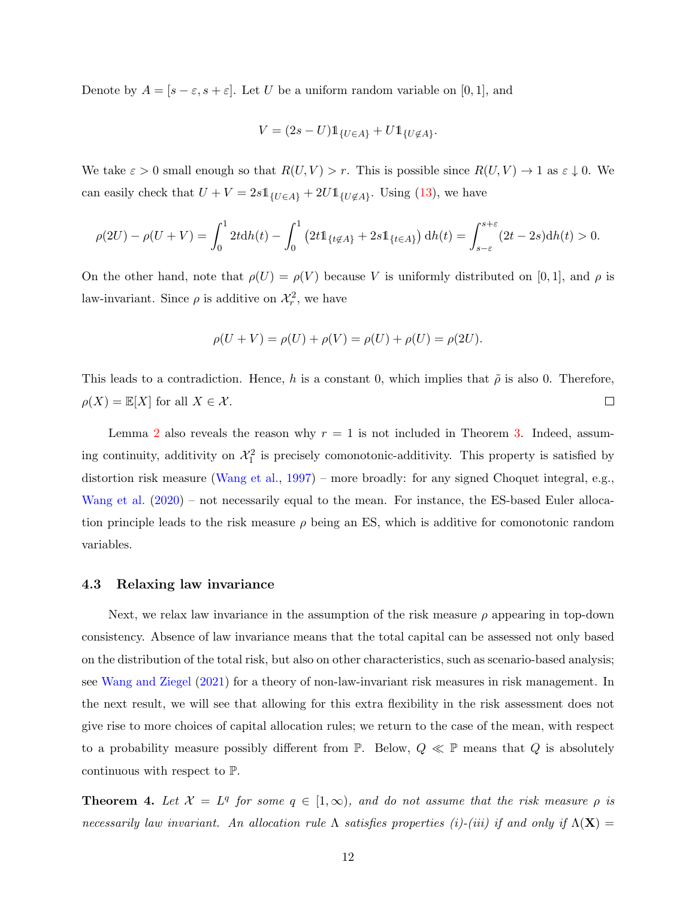Denote by  $A = [s - \varepsilon, s + \varepsilon]$ . Let U be a uniform random variable on [0, 1], and

$$
V = (2s - U) \mathbb{1}_{\{U \in A\}} + U \mathbb{1}_{\{U \notin A\}}.
$$

We take  $\varepsilon > 0$  small enough so that  $R(U, V) > r$ . This is possible since  $R(U, V) \to 1$  as  $\varepsilon \downarrow 0$ . We can easily check that  $U + V = 2s \mathbb{1}_{\{U \in A\}} + 2U \mathbb{1}_{\{U \notin A\}}$ . Using [\(13\)](#page-11-2), we have

$$
\rho(2U) - \rho(U+V) = \int_0^1 2t dh(t) - \int_0^1 (2t \mathbb{1}_{\{t \notin A\}} + 2s \mathbb{1}_{\{t \in A\}}) dh(t) = \int_{s-\varepsilon}^{s+\varepsilon} (2t - 2s) dh(t) > 0.
$$

On the other hand, note that  $\rho(U) = \rho(V)$  because V is uniformly distributed on [0,1], and  $\rho$  is law-invariant. Since  $\rho$  is additive on  $\mathcal{X}_r^2$ , we have

$$
\rho(U + V) = \rho(U) + \rho(V) = \rho(U) + \rho(U) = \rho(2U).
$$

This leads to a contradiction. Hence, h is a constant 0, which implies that  $\tilde{\rho}$  is also 0. Therefore,  $\Box$  $\rho(X) = \mathbb{E}[X]$  for all  $X \in \mathcal{X}$ .

Lemma [2](#page-11-0) also reveals the reason why  $r = 1$  is not included in Theorem [3.](#page-10-1) Indeed, assuming continuity, additivity on  $\mathcal{X}_1^2$  is precisely comonotonic-additivity. This property is satisfied by distortion risk measure [\(Wang et al.,](#page-16-4) [1997\)](#page-16-4) – more broadly: for any signed Choquet integral, e.g., [Wang et al.](#page-16-5)  $(2020)$  – not necessarily equal to the mean. For instance, the ES-based Euler allocation principle leads to the risk measure  $\rho$  being an ES, which is additive for comonotonic random variables.

#### <span id="page-12-0"></span>4.3 Relaxing law invariance

Next, we relax law invariance in the assumption of the risk measure  $\rho$  appearing in top-down consistency. Absence of law invariance means that the total capital can be assessed not only based on the distribution of the total risk, but also on other characteristics, such as scenario-based analysis; see [Wang and Ziegel](#page-16-6) [\(2021\)](#page-16-6) for a theory of non-law-invariant risk measures in risk management. In the next result, we will see that allowing for this extra flexibility in the risk assessment does not give rise to more choices of capital allocation rules; we return to the case of the mean, with respect to a probability measure possibly different from  $\mathbb{P}$ . Below,  $Q \ll \mathbb{P}$  means that Q is absolutely continuous with respect to P.

<span id="page-12-1"></span>**Theorem 4.** Let  $\mathcal{X} = L^q$  for some  $q \in [1, \infty)$ , and do not assume that the risk measure  $\rho$  is necessarily law invariant. An allocation rule  $\Lambda$  satisfies properties (i)-(iii) if and only if  $\Lambda(\mathbf{X}) =$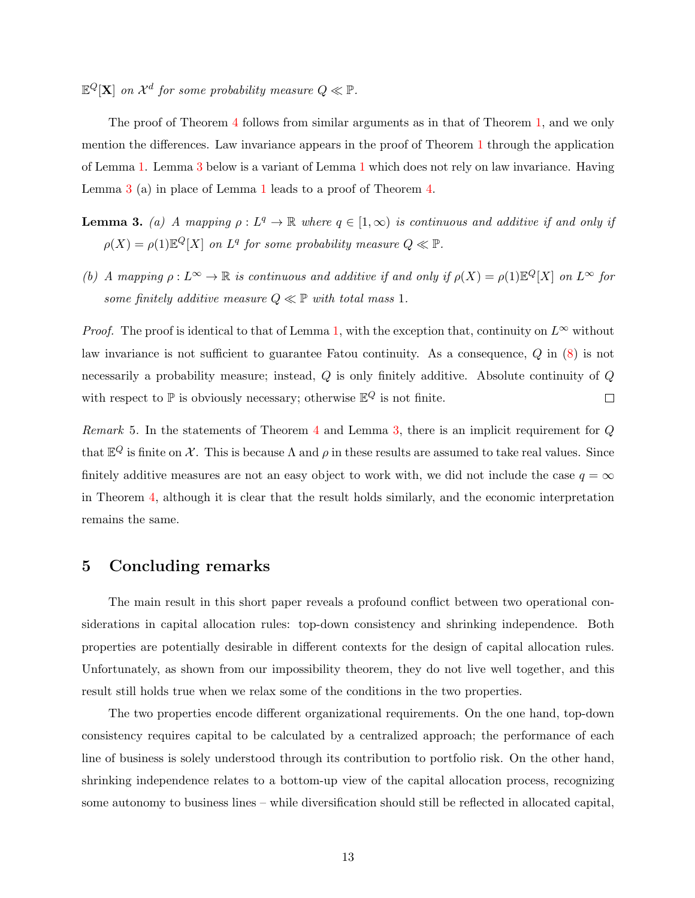$\mathbb{E}^Q[\mathbf{X}]$  on  $\mathcal{X}^d$  for some probability measure  $Q \ll \mathbb{P}$ .

The proof of Theorem [4](#page-12-1) follows from similar arguments as in that of Theorem [1,](#page-5-3) and we only mention the differences. Law invariance appears in the proof of Theorem [1](#page-5-3) through the application of Lemma [1.](#page-6-1) Lemma [3](#page-1-1) below is a variant of Lemma [1](#page-6-1) which does not rely on law invariance. Having Lemma [3](#page-1-1) (a) in place of Lemma [1](#page-6-1) leads to a proof of Theorem [4.](#page-12-1)

- **Lemma 3.** (a) A mapping  $\rho: L^q \to \mathbb{R}$  where  $q \in [1,\infty)$  is continuous and additive if and only if  $\rho(X) = \rho(1) \mathbb{E}^Q[X]$  on  $L^q$  for some probability measure  $Q \ll \mathbb{P}$ .
- (b) A mapping  $\rho: L^{\infty} \to \mathbb{R}$  is continuous and additive if and only if  $\rho(X) = \rho(1)\mathbb{E}^Q[X]$  on  $L^{\infty}$  for some finitely additive measure  $Q \ll \mathbb{P}$  with total mass 1.

*Proof.* The proof is identical to that of Lemma [1,](#page-6-1) with the exception that, continuity on  $L^{\infty}$  without law invariance is not sufficient to guarantee Fatou continuity. As a consequence, Q in [\(8\)](#page-7-2) is not necessarily a probability measure; instead, Q is only finitely additive. Absolute continuity of Q with respect to  $\mathbb P$  is obviously necessary; otherwise  $\mathbb E^Q$  is not finite.  $\Box$ 

Remark 5. In the statements of Theorem [4](#page-12-1) and Lemma [3,](#page-1-1) there is an implicit requirement for  $Q$ that  $\mathbb{E}^Q$  is finite on X. This is because  $\Lambda$  and  $\rho$  in these results are assumed to take real values. Since finitely additive measures are not an easy object to work with, we did not include the case  $q = \infty$ in Theorem [4,](#page-12-1) although it is clear that the result holds similarly, and the economic interpretation remains the same.

## 5 Concluding remarks

The main result in this short paper reveals a profound conflict between two operational considerations in capital allocation rules: top-down consistency and shrinking independence. Both properties are potentially desirable in different contexts for the design of capital allocation rules. Unfortunately, as shown from our impossibility theorem, they do not live well together, and this result still holds true when we relax some of the conditions in the two properties.

The two properties encode different organizational requirements. On the one hand, top-down consistency requires capital to be calculated by a centralized approach; the performance of each line of business is solely understood through its contribution to portfolio risk. On the other hand, shrinking independence relates to a bottom-up view of the capital allocation process, recognizing some autonomy to business lines – while diversification should still be reflected in allocated capital,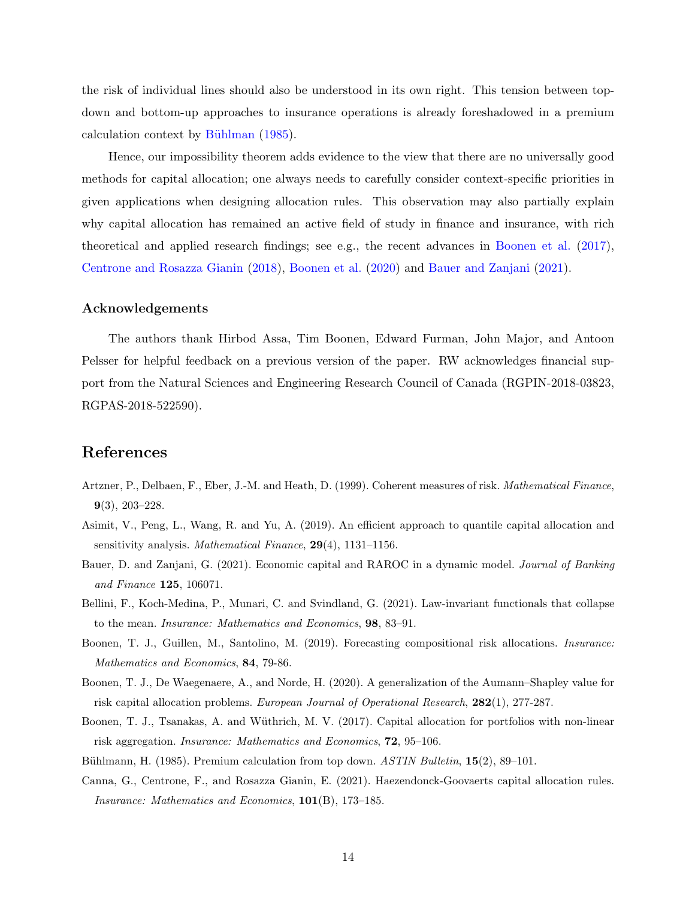the risk of individual lines should also be understood in its own right. This tension between topdown and bottom-up approaches to insurance operations is already foreshadowed in a premium calculation context by Bühlman [\(1985\)](#page-14-5).

Hence, our impossibility theorem adds evidence to the view that there are no universally good methods for capital allocation; one always needs to carefully consider context-specific priorities in given applications when designing allocation rules. This observation may also partially explain why capital allocation has remained an active field of study in finance and insurance, with rich theoretical and applied research findings; see e.g., the recent advances in [Boonen et al.](#page-14-6) [\(2017\)](#page-14-6), [Centrone and Rosazza Gianin](#page-15-16) [\(2018\)](#page-15-16), [Boonen et al.](#page-14-7) [\(2020\)](#page-14-7) and [Bauer and Zanjani](#page-14-8) [\(2021\)](#page-14-8).

#### Acknowledgements

The authors thank Hirbod Assa, Tim Boonen, Edward Furman, John Major, and Antoon Pelsser for helpful feedback on a previous version of the paper. RW acknowledges financial support from the Natural Sciences and Engineering Research Council of Canada (RGPIN-2018-03823, RGPAS-2018-522590).

## References

- <span id="page-14-2"></span>Artzner, P., Delbaen, F., Eber, J.-M. and Heath, D. (1999). Coherent measures of risk. Mathematical Finance, 9(3), 203–228.
- <span id="page-14-1"></span>Asimit, V., Peng, L., Wang, R. and Yu, A. (2019). An efficient approach to quantile capital allocation and sensitivity analysis. Mathematical Finance, 29(4), 1131–1156.
- <span id="page-14-8"></span>Bauer, D. and Zanjani, G. (2021). Economic capital and RAROC in a dynamic model. Journal of Banking and Finance 125, 106071.
- <span id="page-14-4"></span>Bellini, F., Koch-Medina, P., Munari, C. and Svindland, G. (2021). Law-invariant functionals that collapse to the mean. Insurance: Mathematics and Economics, 98, 83–91.
- <span id="page-14-0"></span>Boonen, T. J., Guillen, M., Santolino, M. (2019). Forecasting compositional risk allocations. Insurance: Mathematics and Economics, 84, 79-86.
- <span id="page-14-7"></span>Boonen, T. J., De Waegenaere, A., and Norde, H. (2020). A generalization of the Aumann–Shapley value for risk capital allocation problems. European Journal of Operational Research, 282(1), 277-287.
- <span id="page-14-6"></span>Boonen, T. J., Tsanakas, A. and Wüthrich, M. V. (2017). Capital allocation for portfolios with non-linear risk aggregation. Insurance: Mathematics and Economics, 72, 95–106.
- <span id="page-14-5"></span><span id="page-14-3"></span>Bühlmann, H. (1985). Premium calculation from top down. ASTIN Bulletin, 15(2), 89–101.
- Canna, G., Centrone, F., and Rosazza Gianin, E. (2021). Haezendonck-Goovaerts capital allocation rules. Insurance: Mathematics and Economics, 101(B), 173–185.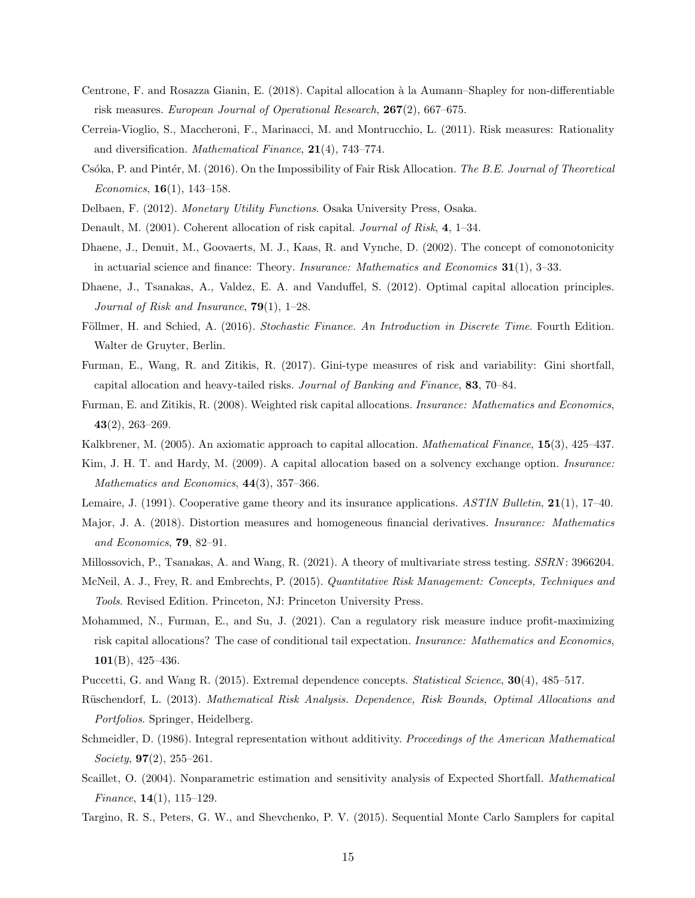- <span id="page-15-16"></span>Centrone, F. and Rosazza Gianin, E. (2018). Capital allocation à la Aumann–Shapley for non-differentiable risk measures. European Journal of Operational Research, 267(2), 667–675.
- <span id="page-15-8"></span>Cerreia-Vioglio, S., Maccheroni, F., Marinacci, M. and Montrucchio, L. (2011). Risk measures: Rationality and diversification. *Mathematical Finance*,  $21(4)$ , 743-774.
- <span id="page-15-11"></span>Csóka, P. and Pintér, M. (2016). On the Impossibility of Fair Risk Allocation. The B.E. Journal of Theoretical Economics,  $16(1)$ ,  $143-158$ .
- <span id="page-15-13"></span><span id="page-15-0"></span>Delbaen, F. (2012). Monetary Utility Functions. Osaka University Press, Osaka.
- <span id="page-15-18"></span>Denault, M. (2001). Coherent allocation of risk capital. Journal of Risk, 4, 1–34.
- Dhaene, J., Denuit, M., Goovaerts, M. J., Kaas, R. and Vynche, D. (2002). The concept of comonotonicity in actuarial science and finance: Theory. Insurance: Mathematics and Economics 31(1), 3–33.
- <span id="page-15-2"></span>Dhaene, J., Tsanakas, A., Valdez, E. A. and Vanduffel, S. (2012). Optimal capital allocation principles. Journal of Risk and Insurance,  $79(1)$ , 1–28.
- <span id="page-15-14"></span>Föllmer, H. and Schied, A. (2016). Stochastic Finance. An Introduction in Discrete Time. Fourth Edition. Walter de Gruyter, Berlin.
- <span id="page-15-20"></span>Furman, E., Wang, R. and Zitikis, R. (2017). Gini-type measures of risk and variability: Gini shortfall, capital allocation and heavy-tailed risks. Journal of Banking and Finance, 83, 70–84.
- <span id="page-15-3"></span>Furman, E. and Zitikis, R. (2008). Weighted risk capital allocations. Insurance: Mathematics and Economics,  $43(2), 263-269.$
- <span id="page-15-15"></span><span id="page-15-1"></span>Kalkbrener, M. (2005). An axiomatic approach to capital allocation. *Mathematical Finance*, **15**(3), 425–437.
- Kim, J. H. T. and Hardy, M. (2009). A capital allocation based on a solvency exchange option. *Insurance*: Mathematics and Economics, 44(3), 357–366.
- <span id="page-15-10"></span><span id="page-15-9"></span>Lemaire, J. (1991). Cooperative game theory and its insurance applications. ASTIN Bulletin, 21(1), 17–40.
- Major, J. A. (2018). Distortion measures and homogeneous financial derivatives. Insurance: Mathematics and Economics, 79, 82–91.
- <span id="page-15-17"></span><span id="page-15-6"></span>Millossovich, P., Tsanakas, A. and Wang, R. (2021). A theory of multivariate stress testing. SSRN : 3966204.
- McNeil, A. J., Frey, R. and Embrechts, P. (2015). Quantitative Risk Management: Concepts, Techniques and Tools. Revised Edition. Princeton, NJ: Princeton University Press.
- <span id="page-15-12"></span>Mohammed, N., Furman, E., and Su, J. (2021). Can a regulatory risk measure induce profit-maximizing risk capital allocations? The case of conditional tail expectation. Insurance: Mathematics and Economics,  $101(B)$ , 425–436.
- <span id="page-15-19"></span><span id="page-15-7"></span>Puccetti, G. and Wang R. (2015). Extremal dependence concepts. *Statistical Science*, **30**(4), 485–517.
- Rüschendorf, L. (2013). Mathematical Risk Analysis. Dependence, Risk Bounds, Optimal Allocations and Portfolios. Springer, Heidelberg.
- Schmeidler, D. (1986). Integral representation without additivity. Proceedings of the American Mathematical Society,  $97(2)$ ,  $255-261$ .
- <span id="page-15-4"></span>Scaillet, O. (2004). Nonparametric estimation and sensitivity analysis of Expected Shortfall. *Mathematical Finance*,  $14(1)$ ,  $115-129$ .
- <span id="page-15-5"></span>Targino, R. S., Peters, G. W., and Shevchenko, P. V. (2015). Sequential Monte Carlo Samplers for capital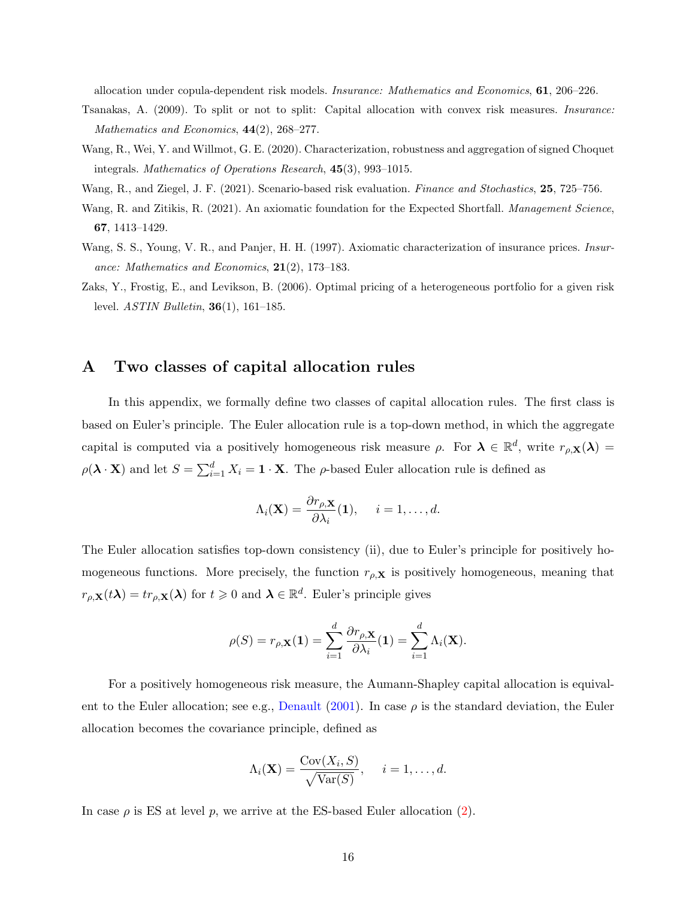allocation under copula-dependent risk models. Insurance: Mathematics and Economics, 61, 206–226.

- <span id="page-16-2"></span>Tsanakas, A. (2009). To split or not to split: Capital allocation with convex risk measures. Insurance: Mathematics and Economics,  $44(2)$ ,  $268-277$ .
- <span id="page-16-5"></span>Wang, R., Wei, Y. and Willmot, G. E. (2020). Characterization, robustness and aggregation of signed Choquet integrals. Mathematics of Operations Research, 45(3), 993–1015.
- <span id="page-16-6"></span><span id="page-16-1"></span>Wang, R., and Ziegel, J. F. (2021). Scenario-based risk evaluation. Finance and Stochastics, 25, 725–756.
- Wang, R. and Zitikis, R. (2021). An axiomatic foundation for the Expected Shortfall. Management Science, 67, 1413–1429.
- <span id="page-16-4"></span>Wang, S. S., Young, V. R., and Panjer, H. H. (1997). Axiomatic characterization of insurance prices. *Insur*ance: Mathematics and Economics,  $21(2)$ , 173-183.
- <span id="page-16-3"></span>Zaks, Y., Frostig, E., and Levikson, B. (2006). Optimal pricing of a heterogeneous portfolio for a given risk level. ASTIN Bulletin, 36(1), 161–185.

## <span id="page-16-0"></span>A Two classes of capital allocation rules

In this appendix, we formally define two classes of capital allocation rules. The first class is based on Euler's principle. The Euler allocation rule is a top-down method, in which the aggregate capital is computed via a positively homogeneous risk measure  $\rho$ . For  $\lambda \in \mathbb{R}^d$ , write  $r_{\rho,\mathbf{X}}(\lambda)$  $\rho(\lambda \cdot \mathbf{X})$  and let  $S = \sum_{i=1}^{d} X_i = \mathbf{1} \cdot \mathbf{X}$ . The  $\rho$ -based Euler allocation rule is defined as

$$
\Lambda_i(\mathbf{X}) = \frac{\partial r_{\rho,\mathbf{X}}}{\partial \lambda_i}(\mathbf{1}), \quad i = 1, \dots, d.
$$

The Euler allocation satisfies top-down consistency (ii), due to Euler's principle for positively homogeneous functions. More precisely, the function  $r_{\rho, \mathbf{X}}$  is positively homogeneous, meaning that  $r_{\rho,\mathbf{X}}(t\boldsymbol{\lambda}) = tr_{\rho,\mathbf{X}}(\boldsymbol{\lambda})$  for  $t \geq 0$  and  $\boldsymbol{\lambda} \in \mathbb{R}^d$ . Euler's principle gives

$$
\rho(S) = r_{\rho, \mathbf{X}}(\mathbf{1}) = \sum_{i=1}^{d} \frac{\partial r_{\rho, \mathbf{X}}}{\partial \lambda_i}(\mathbf{1}) = \sum_{i=1}^{d} \Lambda_i(\mathbf{X}).
$$

For a positively homogeneous risk measure, the Aumann-Shapley capital allocation is equival-ent to the Euler allocation; see e.g., [Denault](#page-15-0) [\(2001\)](#page-15-0). In case  $\rho$  is the standard deviation, the Euler allocation becomes the covariance principle, defined as

$$
\Lambda_i(\mathbf{X}) = \frac{\text{Cov}(X_i, S)}{\sqrt{\text{Var}(S)}}, \quad i = 1, \dots, d.
$$

In case  $\rho$  is ES at level p, we arrive at the ES-based Euler allocation  $(2)$ .